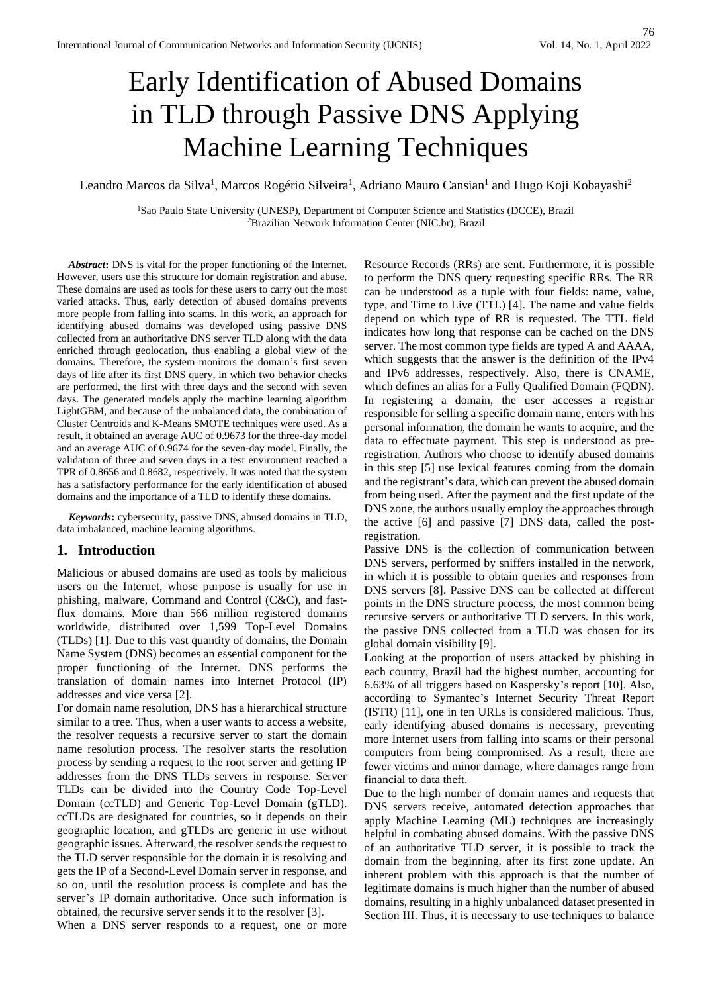# Early Identification of Abused Domains in TLD through Passive DNS Applying Machine Learning Techniques

Leandro Marcos da Silva<sup>1</sup>, Marcos Rogério Silveira<sup>1</sup>, Adriano Mauro Cansian<sup>1</sup> and Hugo Koji Kobayashi<sup>2</sup>

<sup>1</sup>Sao Paulo State University (UNESP), Department of Computer Science and Statistics (DCCE), Brazil <sup>2</sup>Brazilian Network Information Center (NIC.br), Brazil

*Abstract***:** DNS is vital for the proper functioning of the Internet. However, users use this structure for domain registration and abuse. These domains are used as tools for these users to carry out the most varied attacks. Thus, early detection of abused domains prevents more people from falling into scams. In this work, an approach for identifying abused domains was developed using passive DNS collected from an authoritative DNS server TLD along with the data enriched through geolocation, thus enabling a global view of the domains. Therefore, the system monitors the domain's first seven days of life after its first DNS query, in which two behavior checks are performed, the first with three days and the second with seven days. The generated models apply the machine learning algorithm LightGBM, and because of the unbalanced data, the combination of Cluster Centroids and K-Means SMOTE techniques were used. As a result, it obtained an average AUC of 0.9673 for the three-day model and an average AUC of 0.9674 for the seven-day model. Finally, the validation of three and seven days in a test environment reached a TPR of 0.8656 and 0.8682, respectively. It was noted that the system has a satisfactory performance for the early identification of abused domains and the importance of a TLD to identify these domains.

*Keywords***:** cybersecurity, passive DNS, abused domains in TLD, data imbalanced, machine learning algorithms.

# **1. Introduction**

Malicious or abused domains are used as tools by malicious users on the Internet, whose purpose is usually for use in phishing, malware, Command and Control (C&C), and fastflux domains. More than 566 million registered domains worldwide, distributed over 1,599 Top-Level Domains (TLDs) [1]. Due to this vast quantity of domains, the Domain Name System (DNS) becomes an essential component for the proper functioning of the Internet. DNS performs the translation of domain names into Internet Protocol (IP) addresses and vice versa [2].

For domain name resolution, DNS has a hierarchical structure similar to a tree. Thus, when a user wants to access a website, the resolver requests a recursive server to start the domain name resolution process. The resolver starts the resolution process by sending a request to the root server and getting IP addresses from the DNS TLDs servers in response. Server TLDs can be divided into the Country Code Top-Level Domain (ccTLD) and Generic Top-Level Domain (gTLD). ccTLDs are designated for countries, so it depends on their geographic location, and gTLDs are generic in use without geographic issues. Afterward, the resolver sends the request to the TLD server responsible for the domain it is resolving and gets the IP of a Second-Level Domain server in response, and so on, until the resolution process is complete and has the server's IP domain authoritative. Once such information is obtained, the recursive server sends it to the resolver [3].

When a DNS server responds to a request, one or more

Resource Records (RRs) are sent. Furthermore, it is possible to perform the DNS query requesting specific RRs. The RR can be understood as a tuple with four fields: name, value, type, and Time to Live (TTL) [4]. The name and value fields depend on which type of RR is requested. The TTL field indicates how long that response can be cached on the DNS server. The most common type fields are typed A and AAAA, which suggests that the answer is the definition of the IPv4 and IPv6 addresses, respectively. Also, there is CNAME, which defines an alias for a Fully Qualified Domain (FQDN). In registering a domain, the user accesses a registrar responsible for selling a specific domain name, enters with his personal information, the domain he wants to acquire, and the data to effectuate payment. This step is understood as preregistration. Authors who choose to identify abused domains in this step [5] use lexical features coming from the domain and the registrant's data, which can prevent the abused domain from being used. After the payment and the first update of the DNS zone, the authors usually employ the approaches through the active [6] and passive [7] DNS data, called the postregistration.

Passive DNS is the collection of communication between DNS servers, performed by sniffers installed in the network, in which it is possible to obtain queries and responses from DNS servers [8]. Passive DNS can be collected at different points in the DNS structure process, the most common being recursive servers or authoritative TLD servers. In this work, the passive DNS collected from a TLD was chosen for its global domain visibility [9].

Looking at the proportion of users attacked by phishing in each country, Brazil had the highest number, accounting for 6.63% of all triggers based on Kaspersky's report [10]. Also, according to Symantec's Internet Security Threat Report (ISTR) [11], one in ten URLs is considered malicious. Thus, early identifying abused domains is necessary, preventing more Internet users from falling into scams or their personal computers from being compromised. As a result, there are fewer victims and minor damage, where damages range from financial to data theft.

Due to the high number of domain names and requests that DNS servers receive, automated detection approaches that apply Machine Learning (ML) techniques are increasingly helpful in combating abused domains. With the passive DNS of an authoritative TLD server, it is possible to track the domain from the beginning, after its first zone update. An inherent problem with this approach is that the number of legitimate domains is much higher than the number of abused domains, resulting in a highly unbalanced dataset presented in Section III. Thus, it is necessary to use techniques to balance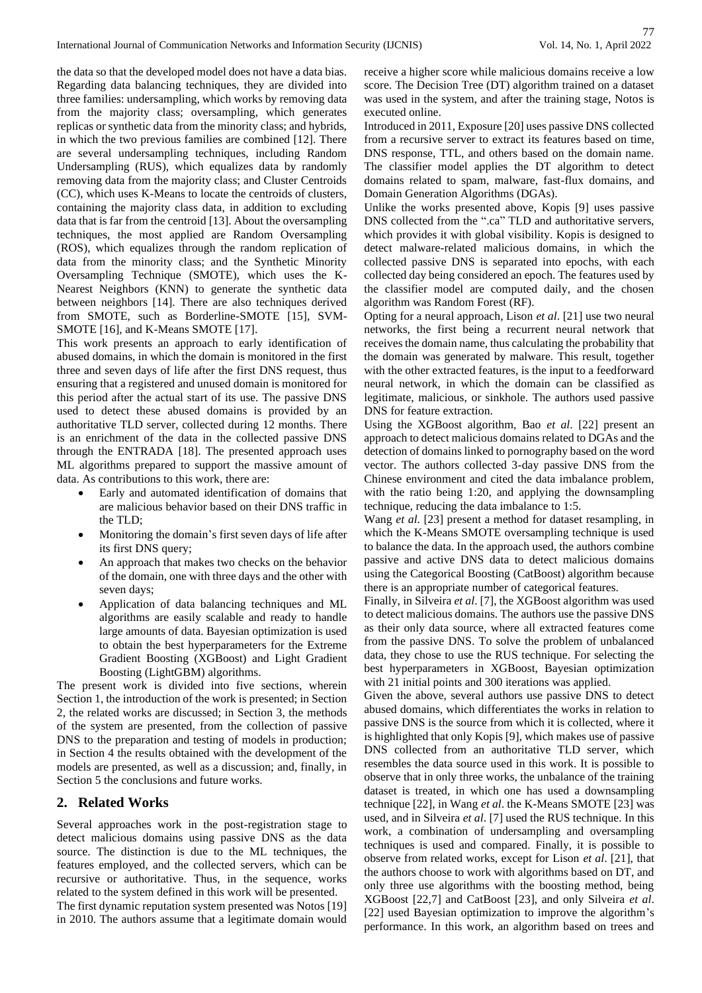the data so that the developed model does not have a data bias. Regarding data balancing techniques, they are divided into three families: undersampling, which works by removing data from the majority class; oversampling, which generates replicas or synthetic data from the minority class; and hybrids, in which the two previous families are combined [12]. There are several undersampling techniques, including Random Undersampling (RUS), which equalizes data by randomly removing data from the majority class; and Cluster Centroids (CC), which uses K-Means to locate the centroids of clusters, containing the majority class data, in addition to excluding data that is far from the centroid [13]. About the oversampling techniques, the most applied are Random Oversampling (ROS), which equalizes through the random replication of data from the minority class; and the Synthetic Minority Oversampling Technique (SMOTE), which uses the K-Nearest Neighbors (KNN) to generate the synthetic data between neighbors [14]. There are also techniques derived from SMOTE, such as Borderline-SMOTE [15], SVM-SMOTE [16], and K-Means SMOTE [17].

This work presents an approach to early identification of abused domains, in which the domain is monitored in the first three and seven days of life after the first DNS request, thus ensuring that a registered and unused domain is monitored for this period after the actual start of its use. The passive DNS used to detect these abused domains is provided by an authoritative TLD server, collected during 12 months. There is an enrichment of the data in the collected passive DNS through the ENTRADA [18]. The presented approach uses ML algorithms prepared to support the massive amount of data. As contributions to this work, there are:

- Early and automated identification of domains that are malicious behavior based on their DNS traffic in the TLD;
- Monitoring the domain's first seven days of life after its first DNS query;
- An approach that makes two checks on the behavior of the domain, one with three days and the other with seven days;
- Application of data balancing techniques and ML algorithms are easily scalable and ready to handle large amounts of data. Bayesian optimization is used to obtain the best hyperparameters for the Extreme Gradient Boosting (XGBoost) and Light Gradient Boosting (LightGBM) algorithms.

The present work is divided into five sections, wherein Section 1, the introduction of the work is presented; in Section 2, the related works are discussed; in Section 3, the methods of the system are presented, from the collection of passive DNS to the preparation and testing of models in production; in Section 4 the results obtained with the development of the models are presented, as well as a discussion; and, finally, in Section 5 the conclusions and future works.

# **2. Related Works**

Several approaches work in the post-registration stage to detect malicious domains using passive DNS as the data source. The distinction is due to the ML techniques, the features employed, and the collected servers, which can be recursive or authoritative. Thus, in the sequence, works related to the system defined in this work will be presented.

The first dynamic reputation system presented was Notos [19] in 2010. The authors assume that a legitimate domain would receive a higher score while malicious domains receive a low score. The Decision Tree (DT) algorithm trained on a dataset was used in the system, and after the training stage, Notos is executed online.

Introduced in 2011, Exposure [20] uses passive DNS collected from a recursive server to extract its features based on time, DNS response, TTL, and others based on the domain name. The classifier model applies the DT algorithm to detect domains related to spam, malware, fast-flux domains, and Domain Generation Algorithms (DGAs).

Unlike the works presented above, Kopis [9] uses passive DNS collected from the ".ca" TLD and authoritative servers, which provides it with global visibility. Kopis is designed to detect malware-related malicious domains, in which the collected passive DNS is separated into epochs, with each collected day being considered an epoch. The features used by the classifier model are computed daily, and the chosen algorithm was Random Forest (RF).

Opting for a neural approach, Lison *et al*. [21] use two neural networks, the first being a recurrent neural network that receives the domain name, thus calculating the probability that the domain was generated by malware. This result, together with the other extracted features, is the input to a feedforward neural network, in which the domain can be classified as legitimate, malicious, or sinkhole. The authors used passive DNS for feature extraction.

Using the XGBoost algorithm, Bao *et al*. [22] present an approach to detect malicious domains related to DGAs and the detection of domains linked to pornography based on the word vector. The authors collected 3-day passive DNS from the Chinese environment and cited the data imbalance problem, with the ratio being 1:20, and applying the downsampling technique, reducing the data imbalance to 1:5.

Wang *et al*. [23] present a method for dataset resampling, in which the K-Means SMOTE oversampling technique is used to balance the data. In the approach used, the authors combine passive and active DNS data to detect malicious domains using the Categorical Boosting (CatBoost) algorithm because there is an appropriate number of categorical features.

Finally, in Silveira *et al*. [7], the XGBoost algorithm was used to detect malicious domains. The authors use the passive DNS as their only data source, where all extracted features come from the passive DNS. To solve the problem of unbalanced data, they chose to use the RUS technique. For selecting the best hyperparameters in XGBoost, Bayesian optimization with 21 initial points and 300 iterations was applied.

Given the above, several authors use passive DNS to detect abused domains, which differentiates the works in relation to passive DNS is the source from which it is collected, where it is highlighted that only Kopis [9], which makes use of passive DNS collected from an authoritative TLD server, which resembles the data source used in this work. It is possible to observe that in only three works, the unbalance of the training dataset is treated, in which one has used a downsampling technique [22], in Wang *et al*. the K-Means SMOTE [23] was used, and in Silveira *et al*. [7] used the RUS technique. In this work, a combination of undersampling and oversampling techniques is used and compared. Finally, it is possible to observe from related works, except for Lison *et al*. [21], that the authors choose to work with algorithms based on DT, and only three use algorithms with the boosting method, being XGBoost [22,7] and CatBoost [23], and only Silveira *et al*. [22] used Bayesian optimization to improve the algorithm's performance. In this work, an algorithm based on trees and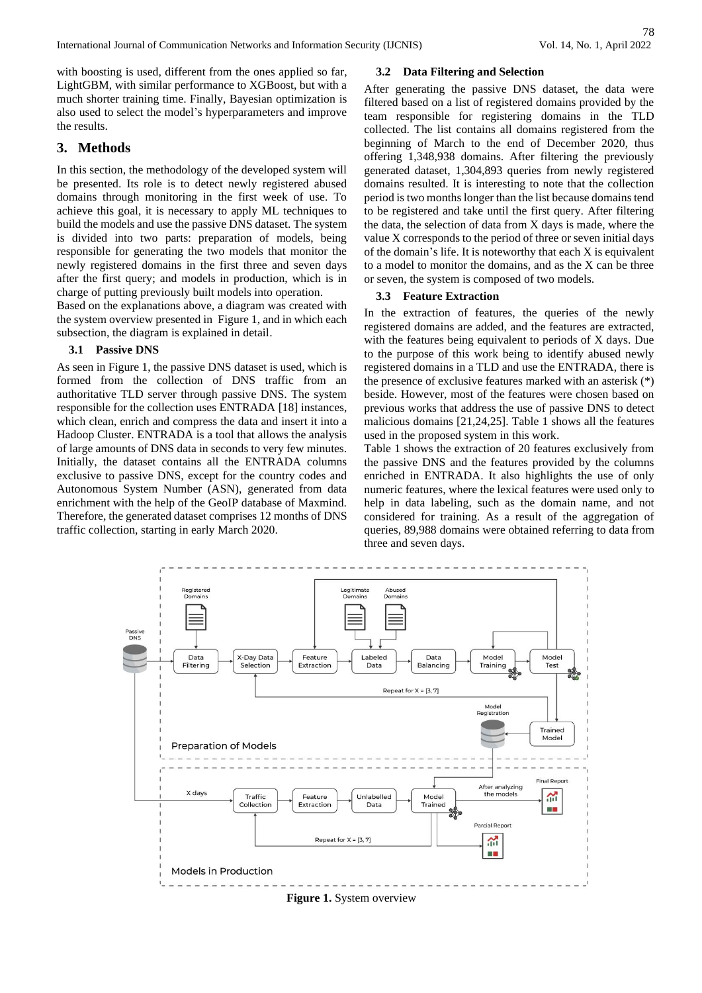with boosting is used, different from the ones applied so far, LightGBM, with similar performance to XGBoost, but with a much shorter training time. Finally, Bayesian optimization is also used to select the model's hyperparameters and improve the results.

# **3. Methods**

In this section, the methodology of the developed system will be presented. Its role is to detect newly registered abused domains through monitoring in the first week of use. To achieve this goal, it is necessary to apply ML techniques to build the models and use the passive DNS dataset. The system is divided into two parts: preparation of models, being responsible for generating the two models that monitor the newly registered domains in the first three and seven days after the first query; and models in production, which is in charge of putting previously built models into operation.

Based on the explanations above, a diagram was created with the system overview presented in Figure 1, and in which each subsection, the diagram is explained in detail.

# **3.1 Passive DNS**

As seen in Figure 1, the passive DNS dataset is used, which is formed from the collection of DNS traffic from an authoritative TLD server through passive DNS. The system responsible for the collection uses ENTRADA [18] instances, which clean, enrich and compress the data and insert it into a Hadoop Cluster. ENTRADA is a tool that allows the analysis of large amounts of DNS data in seconds to very few minutes. Initially, the dataset contains all the ENTRADA columns exclusive to passive DNS, except for the country codes and Autonomous System Number (ASN), generated from data enrichment with the help of the GeoIP database of Maxmind. Therefore, the generated dataset comprises 12 months of DNS traffic collection, starting in early March 2020.

# **3.2 Data Filtering and Selection**

After generating the passive DNS dataset, the data were filtered based on a list of registered domains provided by the team responsible for registering domains in the TLD collected. The list contains all domains registered from the beginning of March to the end of December 2020, thus offering 1,348,938 domains. After filtering the previously generated dataset, 1,304,893 queries from newly registered domains resulted. It is interesting to note that the collection period is two months longer than the list because domains tend to be registered and take until the first query. After filtering the data, the selection of data from X days is made, where the value X corresponds to the period of three or seven initial days of the domain's life. It is noteworthy that each X is equivalent to a model to monitor the domains, and as the X can be three or seven, the system is composed of two models.

### **3.3 Feature Extraction**

In the extraction of features, the queries of the newly registered domains are added, and the features are extracted, with the features being equivalent to periods of X days. Due to the purpose of this work being to identify abused newly registered domains in a TLD and use the ENTRADA, there is the presence of exclusive features marked with an asterisk (\*) beside. However, most of the features were chosen based on previous works that address the use of passive DNS to detect malicious domains [21,24,25]. Table 1 shows all the features used in the proposed system in this work.

Table 1 shows the extraction of 20 features exclusively from the passive DNS and the features provided by the columns enriched in ENTRADA. It also highlights the use of only numeric features, where the lexical features were used only to help in data labeling, such as the domain name, and not considered for training. As a result of the aggregation of queries, 89,988 domains were obtained referring to data from three and seven days.



**Figure 1.** System overview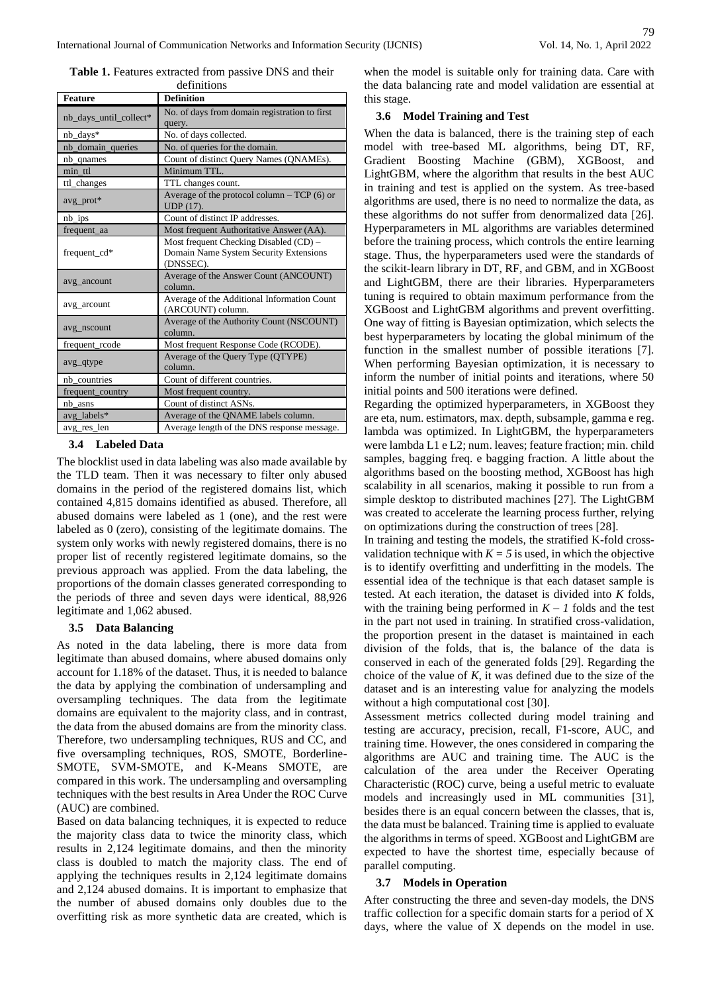| <b>Feature</b>         | <b>Definition</b>                                                                             |  |  |
|------------------------|-----------------------------------------------------------------------------------------------|--|--|
| nb_days_until_collect* | No. of days from domain registration to first<br>query.                                       |  |  |
| nb days*               | No. of days collected.                                                                        |  |  |
| nb domain queries      | No. of queries for the domain.                                                                |  |  |
| nb_qnames              | Count of distinct Query Names (QNAMEs).                                                       |  |  |
| min ttl                | Minimum TTL.                                                                                  |  |  |
| ttl_changes            | TTL changes count.                                                                            |  |  |
| avg_prot*              | Average of the protocol column $-$ TCP (6) or<br>UDP (17).                                    |  |  |
| nb_ips                 | Count of distinct IP addresses.                                                               |  |  |
| frequent_aa            | Most frequent Authoritative Answer (AA).                                                      |  |  |
| frequent cd*           | Most frequent Checking Disabled (CD) -<br>Domain Name System Security Extensions<br>(DNSSEC). |  |  |
| avg_ancount            | Average of the Answer Count (ANCOUNT)<br>column.                                              |  |  |
| avg_arcount            | Average of the Additional Information Count<br>(ARCOUNT) column.                              |  |  |
| avg_nscount            | Average of the Authority Count (NSCOUNT)<br>column.                                           |  |  |
| frequent_rcode         | Most frequent Response Code (RCODE).                                                          |  |  |
| avg_qtype              | Average of the Query Type (QTYPE)<br>column.                                                  |  |  |
| nb countries           | Count of different countries.                                                                 |  |  |
| frequent_country       | Most frequent country.                                                                        |  |  |
| nb asns                | Count of distinct ASNs.                                                                       |  |  |
| avg labels*            | Average of the QNAME labels column.                                                           |  |  |
| avg res len            | Average length of the DNS response message.                                                   |  |  |

Table 1. Features extracted from passive DNS and their definitions

## **3.4 Labeled Data**

The blocklist used in data labeling was also made available by the TLD team. Then it was necessary to filter only abused domains in the period of the registered domains list, which contained 4,815 domains identified as abused. Therefore, all abused domains were labeled as 1 (one), and the rest were labeled as 0 (zero), consisting of the legitimate domains. The system only works with newly registered domains, there is no proper list of recently registered legitimate domains, so the previous approach was applied. From the data labeling, the proportions of the domain classes generated corresponding to the periods of three and seven days were identical, 88,926 legitimate and 1,062 abused.

## **3.5 Data Balancing**

As noted in the data labeling, there is more data from legitimate than abused domains, where abused domains only account for 1.18% of the dataset. Thus, it is needed to balance the data by applying the combination of undersampling and oversampling techniques. The data from the legitimate domains are equivalent to the majority class, and in contrast, the data from the abused domains are from the minority class. Therefore, two undersampling techniques, RUS and CC, and five oversampling techniques, ROS, SMOTE, Borderline-SMOTE, SVM-SMOTE, and K-Means SMOTE, are compared in this work. The undersampling and oversampling techniques with the best results in Area Under the ROC Curve (AUC) are combined.

Based on data balancing techniques, it is expected to reduce the majority class data to twice the minority class, which results in 2,124 legitimate domains, and then the minority class is doubled to match the majority class. The end of applying the techniques results in 2,124 legitimate domains and 2,124 abused domains. It is important to emphasize that the number of abused domains only doubles due to the overfitting risk as more synthetic data are created, which is

when the model is suitable only for training data. Care with the data balancing rate and model validation are essential at this stage.

#### **3.6 Model Training and Test**

When the data is balanced, there is the training step of each model with tree-based ML algorithms, being DT, RF, Gradient Boosting Machine (GBM), XGBoost, and LightGBM, where the algorithm that results in the best AUC in training and test is applied on the system. As tree-based algorithms are used, there is no need to normalize the data, as these algorithms do not suffer from denormalized data [26]. Hyperparameters in ML algorithms are variables determined before the training process, which controls the entire learning stage. Thus, the hyperparameters used were the standards of the scikit-learn library in DT, RF, and GBM, and in XGBoost and LightGBM, there are their libraries. Hyperparameters tuning is required to obtain maximum performance from the XGBoost and LightGBM algorithms and prevent overfitting. One way of fitting is Bayesian optimization, which selects the best hyperparameters by locating the global minimum of the function in the smallest number of possible iterations [7]. When performing Bayesian optimization, it is necessary to inform the number of initial points and iterations, where 50 initial points and 500 iterations were defined.

Regarding the optimized hyperparameters, in XGBoost they are eta, num. estimators, max. depth, subsample, gamma e reg. lambda was optimized. In LightGBM, the hyperparameters were lambda L1 e L2; num. leaves; feature fraction; min. child samples, bagging freq. e bagging fraction. A little about the algorithms based on the boosting method, XGBoost has high scalability in all scenarios, making it possible to run from a simple desktop to distributed machines [27]. The LightGBM was created to accelerate the learning process further, relying on optimizations during the construction of trees [28].

In training and testing the models, the stratified K-fold crossvalidation technique with  $K = 5$  is used, in which the objective is to identify overfitting and underfitting in the models. The essential idea of the technique is that each dataset sample is tested. At each iteration, the dataset is divided into *K* folds, with the training being performed in  $K - 1$  folds and the test in the part not used in training. In stratified cross-validation, the proportion present in the dataset is maintained in each division of the folds, that is, the balance of the data is conserved in each of the generated folds [29]. Regarding the choice of the value of  $K$ , it was defined due to the size of the dataset and is an interesting value for analyzing the models without a high computational cost [30].

Assessment metrics collected during model training and testing are accuracy, precision, recall, F1-score, AUC, and training time. However, the ones considered in comparing the algorithms are AUC and training time. The AUC is the calculation of the area under the Receiver Operating Characteristic (ROC) curve, being a useful metric to evaluate models and increasingly used in ML communities [31], besides there is an equal concern between the classes, that is, the data must be balanced. Training time is applied to evaluate the algorithms in terms of speed. XGBoost and LightGBM are expected to have the shortest time, especially because of parallel computing.

## **3.7 Models in Operation**

After constructing the three and seven-day models, the DNS traffic collection for a specific domain starts for a period of X days, where the value of X depends on the model in use.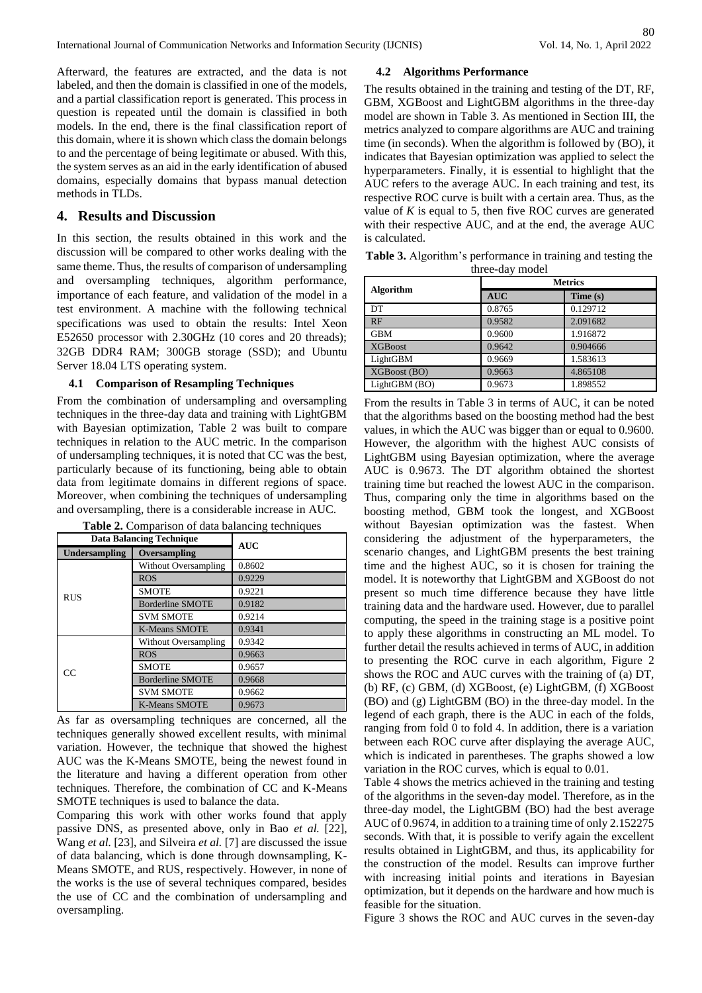Afterward, the features are extracted, and the data is not labeled, and then the domain is classified in one of the models, and a partial classification report is generated. This process in question is repeated until the domain is classified in both models. In the end, there is the final classification report of this domain, where it is shown which class the domain belongs to and the percentage of being legitimate or abused. With this, the system serves as an aid in the early identification of abused domains, especially domains that bypass manual detection methods in TLDs.

# **4. Results and Discussion**

In this section, the results obtained in this work and the discussion will be compared to other works dealing with the same theme. Thus, the results of comparison of undersampling and oversampling techniques, algorithm performance, importance of each feature, and validation of the model in a test environment. A machine with the following technical specifications was used to obtain the results: Intel Xeon E52650 processor with 2.30GHz (10 cores and 20 threads); 32GB DDR4 RAM; 300GB storage (SSD); and Ubuntu Server 18.04 LTS operating system.

#### **4.1 Comparison of Resampling Techniques**

From the combination of undersampling and oversampling techniques in the three-day data and training with LightGBM with Bayesian optimization, Table 2 was built to compare techniques in relation to the AUC metric. In the comparison of undersampling techniques, it is noted that CC was the best, particularly because of its functioning, being able to obtain data from legitimate domains in different regions of space. Moreover, when combining the techniques of undersampling and oversampling, there is a considerable increase in AUC.

| <b>Data Balancing Technique</b> |                             | <b>AUC</b> |  |
|---------------------------------|-----------------------------|------------|--|
| <b>Undersampling</b>            | Oversampling                |            |  |
| <b>RUS</b>                      | <b>Without Oversampling</b> | 0.8602     |  |
|                                 | <b>ROS</b>                  | 0.9229     |  |
|                                 | <b>SMOTE</b>                | 0.9221     |  |
|                                 | Borderline SMOTE            | 0.9182     |  |
|                                 | <b>SVM SMOTE</b>            | 0.9214     |  |
|                                 | <b>K-Means SMOTE</b>        | 0.9341     |  |
| CC                              | Without Oversampling        | 0.9342     |  |
|                                 | <b>ROS</b>                  | 0.9663     |  |
|                                 | <b>SMOTE</b>                | 0.9657     |  |
|                                 | Borderline SMOTE            | 0.9668     |  |
|                                 | <b>SVM SMOTE</b>            | 0.9662     |  |
|                                 | <b>K-Means SMOTE</b>        | 0.9673     |  |

**Table 2.** Comparison of data balancing techniques

As far as oversampling techniques are concerned, all the techniques generally showed excellent results, with minimal variation. However, the technique that showed the highest AUC was the K-Means SMOTE, being the newest found in the literature and having a different operation from other techniques. Therefore, the combination of CC and K-Means SMOTE techniques is used to balance the data.

Comparing this work with other works found that apply passive DNS, as presented above, only in Bao *et al.* [22], Wang *et al.* [23], and Silveira *et al.* [7] are discussed the issue of data balancing, which is done through downsampling, K-Means SMOTE, and RUS, respectively. However, in none of the works is the use of several techniques compared, besides the use of CC and the combination of undersampling and oversampling.

## **4.2 Algorithms Performance**

The results obtained in the training and testing of the DT, RF, GBM, XGBoost and LightGBM algorithms in the three-day model are shown in Table 3. As mentioned in Section III, the metrics analyzed to compare algorithms are AUC and training time (in seconds). When the algorithm is followed by (BO), it indicates that Bayesian optimization was applied to select the hyperparameters. Finally, it is essential to highlight that the AUC refers to the average AUC. In each training and test, its respective ROC curve is built with a certain area. Thus, as the value of *K* is equal to 5, then five ROC curves are generated with their respective AUC, and at the end, the average AUC is calculated.

**Table 3.** Algorithm's performance in training and testing the three-day model

| Algorithm      | <b>Metrics</b> |          |  |
|----------------|----------------|----------|--|
|                | <b>AUC</b>     | Time(s)  |  |
| DT             | 0.8765         | 0.129712 |  |
| RF             | 0.9582         | 2.091682 |  |
| <b>GBM</b>     | 0.9600         | 1.916872 |  |
| <b>XGBoost</b> | 0.9642         | 0.904666 |  |
| LightGBM       | 0.9669         | 1.583613 |  |
| XGBoost (BO)   | 0.9663         | 4.865108 |  |
| LightGBM (BO)  | 0.9673         | 1.898552 |  |

From the results in Table 3 in terms of AUC, it can be noted that the algorithms based on the boosting method had the best values, in which the AUC was bigger than or equal to 0.9600. However, the algorithm with the highest AUC consists of LightGBM using Bayesian optimization, where the average AUC is 0.9673. The DT algorithm obtained the shortest training time but reached the lowest AUC in the comparison. Thus, comparing only the time in algorithms based on the boosting method, GBM took the longest, and XGBoost without Bayesian optimization was the fastest. When considering the adjustment of the hyperparameters, the scenario changes, and LightGBM presents the best training time and the highest AUC, so it is chosen for training the model. It is noteworthy that LightGBM and XGBoost do not present so much time difference because they have little training data and the hardware used. However, due to parallel computing, the speed in the training stage is a positive point to apply these algorithms in constructing an ML model. To further detail the results achieved in terms of AUC, in addition to presenting the ROC curve in each algorithm, Figure 2 shows the ROC and AUC curves with the training of (a) DT, (b) RF, (c) GBM, (d) XGBoost, (e) LightGBM, (f) XGBoost (BO) and (g) LightGBM (BO) in the three-day model. In the legend of each graph, there is the AUC in each of the folds, ranging from fold 0 to fold 4. In addition, there is a variation between each ROC curve after displaying the average AUC, which is indicated in parentheses. The graphs showed a low variation in the ROC curves, which is equal to 0.01.

Table 4 shows the metrics achieved in the training and testing of the algorithms in the seven-day model. Therefore, as in the three-day model, the LightGBM (BO) had the best average AUC of 0.9674, in addition to a training time of only 2.152275 seconds. With that, it is possible to verify again the excellent results obtained in LightGBM, and thus, its applicability for the construction of the model. Results can improve further with increasing initial points and iterations in Bayesian optimization, but it depends on the hardware and how much is feasible for the situation.

Figure 3 shows the ROC and AUC curves in the seven-day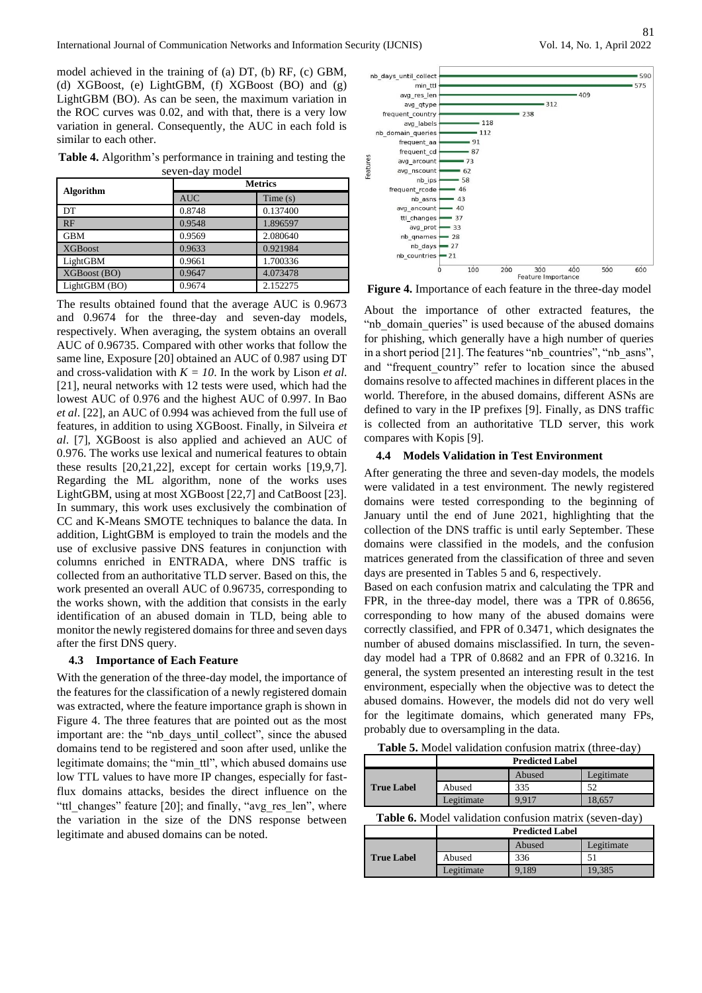model achieved in the training of (a) DT, (b) RF, (c) GBM, (d) XGBoost, (e) LightGBM, (f) XGBoost (BO) and (g) LightGBM (BO). As can be seen, the maximum variation in the ROC curves was 0.02, and with that, there is a very low variation in general. Consequently, the AUC in each fold is similar to each other.

**Table 4.** Algorithm's performance in training and testing the seven-day model

|                  | <b>Metrics</b> |          |  |
|------------------|----------------|----------|--|
| <b>Algorithm</b> | <b>AUC</b>     | Time(s)  |  |
| DT.              | 0.8748         | 0.137400 |  |
| RF               | 0.9548         | 1.896597 |  |
| <b>GBM</b>       | 0.9569         | 2.080640 |  |
| <b>XGBoost</b>   | 0.9633         | 0.921984 |  |
| LightGBM         | 0.9661         | 1.700336 |  |
| XGBoost (BO)     | 0.9647         | 4.073478 |  |
| LightGBM (BO)    | 0.9674         | 2.152275 |  |

The results obtained found that the average AUC is 0.9673 and 0.9674 for the three-day and seven-day models, respectively. When averaging, the system obtains an overall AUC of 0.96735. Compared with other works that follow the same line, Exposure [20] obtained an AUC of 0.987 using DT and cross-validation with  $K = 10$ . In the work by Lison *et al.* [21], neural networks with 12 tests were used, which had the lowest AUC of 0.976 and the highest AUC of 0.997. In Bao *et al*. [22], an AUC of 0.994 was achieved from the full use of features, in addition to using XGBoost. Finally, in Silveira *et al*. [7], XGBoost is also applied and achieved an AUC of 0.976. The works use lexical and numerical features to obtain these results [20,21,22], except for certain works [19,9,7]. Regarding the ML algorithm, none of the works uses LightGBM, using at most XGBoost [22,7] and CatBoost [23]. In summary, this work uses exclusively the combination of CC and K-Means SMOTE techniques to balance the data. In addition, LightGBM is employed to train the models and the use of exclusive passive DNS features in conjunction with columns enriched in ENTRADA, where DNS traffic is collected from an authoritative TLD server. Based on this, the work presented an overall AUC of 0.96735, corresponding to the works shown, with the addition that consists in the early identification of an abused domain in TLD, being able to monitor the newly registered domains for three and seven days after the first DNS query.

#### **4.3 Importance of Each Feature**

With the generation of the three-day model, the importance of the features for the classification of a newly registered domain was extracted, where the feature importance graph is shown in Figure 4. The three features that are pointed out as the most important are: the "nb\_days\_until\_collect", since the abused domains tend to be registered and soon after used, unlike the legitimate domains; the "min\_ttl", which abused domains use low TTL values to have more IP changes, especially for fastflux domains attacks, besides the direct influence on the "ttl\_changes" feature [20]; and finally, "avg\_res\_len", where the variation in the size of the DNS response between legitimate and abused domains can be noted.



**Figure 4.** Importance of each feature in the three-day model

About the importance of other extracted features, the "nb domain queries" is used because of the abused domains for phishing, which generally have a high number of queries in a short period [21]. The features "nb\_countries", "nb\_asns", and "frequent country" refer to location since the abused domains resolve to affected machines in different places in the world. Therefore, in the abused domains, different ASNs are defined to vary in the IP prefixes [9]. Finally, as DNS traffic is collected from an authoritative TLD server, this work compares with Kopis [9].

### **4.4 Models Validation in Test Environment**

After generating the three and seven-day models, the models were validated in a test environment. The newly registered domains were tested corresponding to the beginning of January until the end of June 2021, highlighting that the collection of the DNS traffic is until early September. These domains were classified in the models, and the confusion matrices generated from the classification of three and seven days are presented in Tables 5 and 6, respectively.

Based on each confusion matrix and calculating the TPR and FPR, in the three-day model, there was a TPR of 0.8656, corresponding to how many of the abused domains were correctly classified, and FPR of 0.3471, which designates the number of abused domains misclassified. In turn, the sevenday model had a TPR of 0.8682 and an FPR of 0.3216. In general, the system presented an interesting result in the test environment, especially when the objective was to detect the abused domains. However, the models did not do very well for the legitimate domains, which generated many FPs, probably due to oversampling in the data.

**Table 5.** Model validation confusion matrix (three-day)

|                                                               | <b>Predicted Label</b> |        |            |
|---------------------------------------------------------------|------------------------|--------|------------|
| <b>True Label</b>                                             |                        | Abused | Legitimate |
|                                                               | Abused                 | 335    | 52         |
|                                                               | Legitimate             | 9.917  | 18,657     |
| <b>Table 6.</b> Model validation confusion matrix (seven-day) |                        |        |            |

| <b>Table 0.</b> MOUCH Vanuation Comusion matrix (SCVCh-uay) |                        |        |            |
|-------------------------------------------------------------|------------------------|--------|------------|
|                                                             | <b>Predicted Label</b> |        |            |
|                                                             |                        | Abused | Legitimate |
| <b>True Label</b>                                           | Abused                 | 336    |            |
|                                                             | Legitimate             | 9.189  | 19.385     |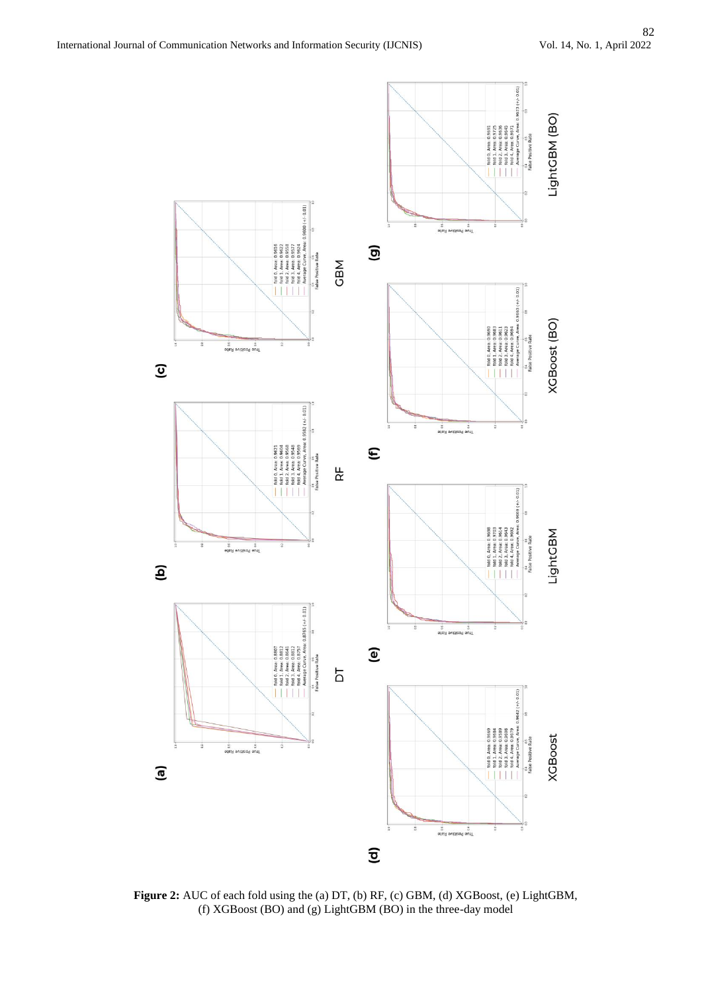

**Figure 2:** AUC of each fold using the (a) DT, (b) RF, (c) GBM, (d) XGBoost, (e) LightGBM, (f) XGBoost (BO) and (g) LightGBM (BO) in the three-day model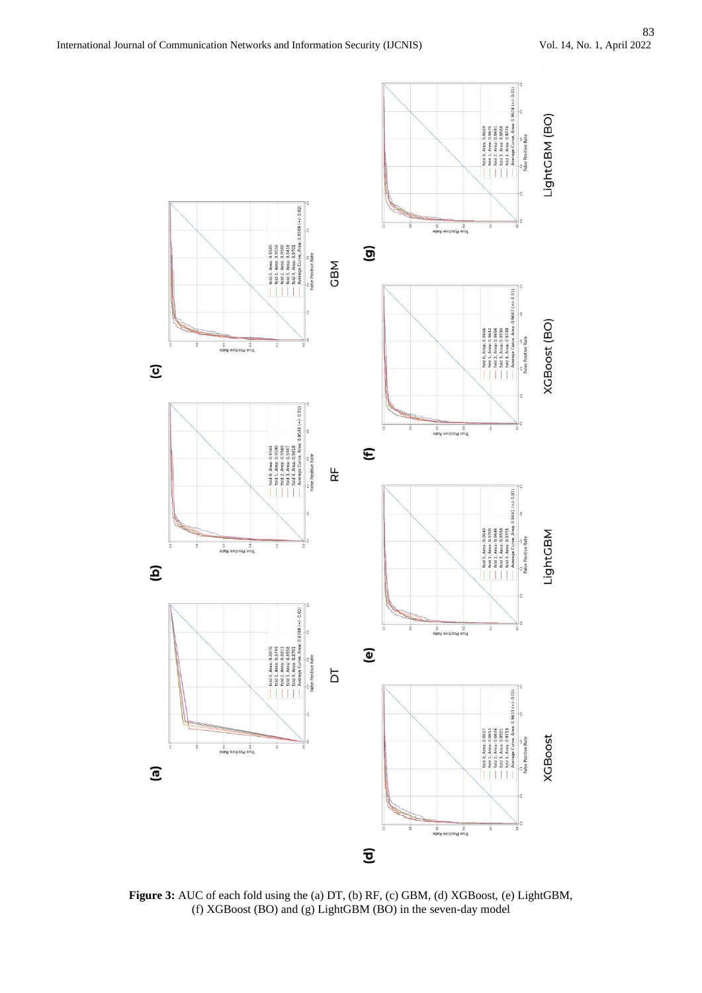

**Figure 3:** AUC of each fold using the (a) DT, (b) RF, (c) GBM, (d) XGBoost, (e) LightGBM, (f) XGBoost (BO) and (g) LightGBM (BO) in the seven-day model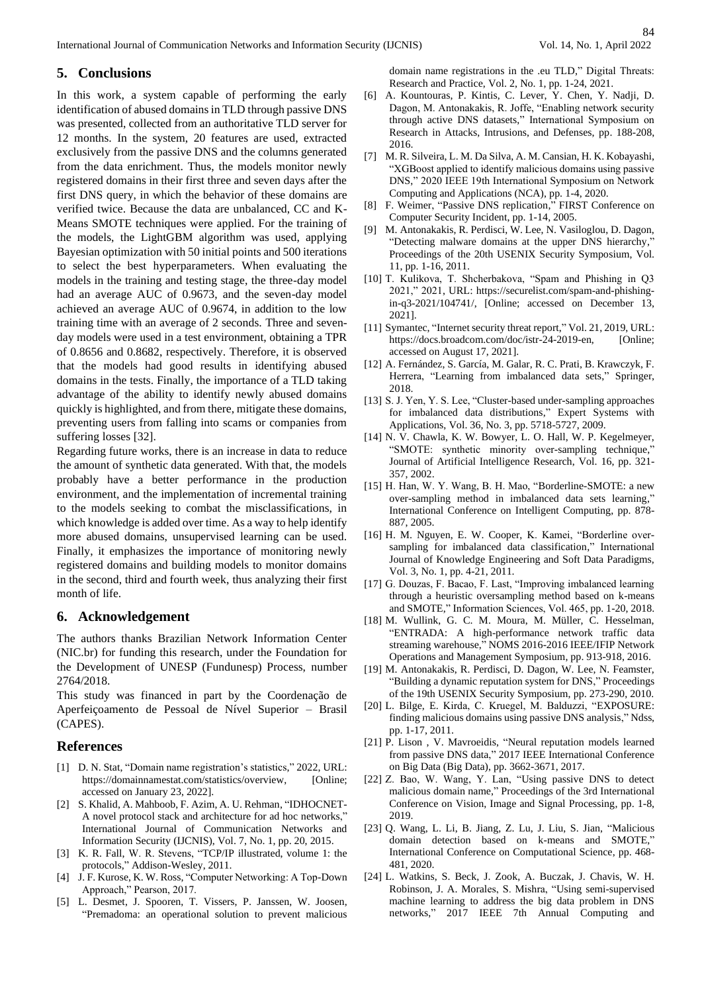# **5. Conclusions**

In this work, a system capable of performing the early identification of abused domains in TLD through passive DNS was presented, collected from an authoritative TLD server for 12 months. In the system, 20 features are used, extracted exclusively from the passive DNS and the columns generated from the data enrichment. Thus, the models monitor newly registered domains in their first three and seven days after the first DNS query, in which the behavior of these domains are verified twice. Because the data are unbalanced, CC and K-Means SMOTE techniques were applied. For the training of the models, the LightGBM algorithm was used, applying Bayesian optimization with 50 initial points and 500 iterations to select the best hyperparameters. When evaluating the models in the training and testing stage, the three-day model had an average AUC of 0.9673, and the seven-day model achieved an average AUC of 0.9674, in addition to the low training time with an average of 2 seconds. Three and sevenday models were used in a test environment, obtaining a TPR of 0.8656 and 0.8682, respectively. Therefore, it is observed that the models had good results in identifying abused domains in the tests. Finally, the importance of a TLD taking advantage of the ability to identify newly abused domains quickly is highlighted, and from there, mitigate these domains, preventing users from falling into scams or companies from suffering losses [32].

Regarding future works, there is an increase in data to reduce the amount of synthetic data generated. With that, the models probably have a better performance in the production environment, and the implementation of incremental training to the models seeking to combat the misclassifications, in which knowledge is added over time. As a way to help identify more abused domains, unsupervised learning can be used. Finally, it emphasizes the importance of monitoring newly registered domains and building models to monitor domains in the second, third and fourth week, thus analyzing their first month of life.

## **6. Acknowledgement**

The authors thanks Brazilian Network Information Center (NIC.br) for funding this research, under the Foundation for the Development of UNESP (Fundunesp) Process, number 2764/2018.

This study was financed in part by the Coordenação de Aperfeiçoamento de Pessoal de Nível Superior – Brasil (CAPES).

#### **References**

- [1] D. N. Stat, "Domain name registration's statistics," 2022, URL: [https://domainnamestat.com/statistics/overview,](https://domainnamestat.com/statistics/overview) [Online; accessed on January 23, 2022].
- [2] S. Khalid, A. Mahboob, F. Azim, A. U. Rehman, "IDHOCNET-A novel protocol stack and architecture for ad hoc networks," International Journal of Communication Networks and Information Security (IJCNIS), Vol. 7, No. 1, pp. 20, 2015.
- [3] K. R. Fall, W. R. Stevens, "TCP/IP illustrated, volume 1: the protocols," Addison-Wesley, 2011.
- [4] J. F. Kurose, K. W. Ross, "Computer Networking: A Top-Down Approach," Pearson, 2017.
- [5] L. Desmet, J. Spooren, T. Vissers, P. Janssen, W. Joosen, "Premadoma: an operational solution to prevent malicious

domain name registrations in the .eu TLD," Digital Threats: Research and Practice, Vol. 2, No. 1, pp. 1-24, 2021.

- [6] A. Kountouras, P. Kintis, C. Lever, Y. Chen, Y. Nadji, D. Dagon, M. Antonakakis, R. Joffe, "Enabling network security through active DNS datasets," International Symposium on Research in Attacks, Intrusions, and Defenses, pp. 188-208, 2016.
- [7] M. R. Silveira, L. M. Da Silva, A. M. Cansian, H. K. Kobayashi, "XGBoost applied to identify malicious domains using passive DNS," 2020 IEEE 19th International Symposium on Network Computing and Applications (NCA), pp. 1-4, 2020.
- [8] F. Weimer, "Passive DNS replication," FIRST Conference on Computer Security Incident, pp. 1-14, 2005.
- [9] M. Antonakakis, R. Perdisci, W. Lee, N. Vasiloglou, D. Dagon, "Detecting malware domains at the upper DNS hierarchy," Proceedings of the 20th USENIX Security Symposium, Vol. 11, pp. 1-16, 2011.
- [10] T. Kulikova, T. Shcherbakova, "Spam and Phishing in Q3 2021," 2021, URL: [https://securelist.com/spam-and-phishing](https://securelist.com/spam-and-phishing-in-q3-2021/104741/)[in-q3-2021/104741/,](https://securelist.com/spam-and-phishing-in-q3-2021/104741/) [Online; accessed on December 13, 2021].
- [11] Symantec, "Internet security threat report," Vol. 21, 2019, URL: [https://docs.broadcom.com/doc/istr-24-2019-en,](https://docs.broadcom.com/doc/istr-24-2019-en) [Online; accessed on August 17, 2021].
- [12] A. Fernández, S. García, M. Galar, R. C. Prati, B. Krawczyk, F. Herrera, "Learning from imbalanced data sets," Springer, 2018.
- [13] S. J. Yen, Y. S. Lee, "Cluster-based under-sampling approaches for imbalanced data distributions," Expert Systems with Applications, Vol. 36, No. 3, pp. 5718-5727, 2009.
- [14] N. V. Chawla, K. W. Bowyer, L. O. Hall, W. P. Kegelmeyer, "SMOTE: synthetic minority over-sampling technique," Journal of Artificial Intelligence Research, Vol. 16, pp. 321- 357, 2002.
- [15] H. Han, W. Y. Wang, B. H. Mao, "Borderline-SMOTE: a new over-sampling method in imbalanced data sets learning," International Conference on Intelligent Computing, pp. 878- 887, 2005.
- [16] H. M. Nguyen, E. W. Cooper, K. Kamei, "Borderline oversampling for imbalanced data classification," International Journal of Knowledge Engineering and Soft Data Paradigms, Vol. 3, No. 1, pp. 4-21, 2011.
- [17] G. Douzas, F. Bacao, F. Last, "Improving imbalanced learning through a heuristic oversampling method based on k-means and SMOTE," Information Sciences, Vol. 465, pp. 1-20, 2018.
- [18] M. Wullink, G. C. M. Moura, M. Müller, C. Hesselman, "ENTRADA: A high-performance network traffic data streaming warehouse," NOMS 2016-2016 IEEE/IFIP Network Operations and Management Symposium, pp. 913-918, 2016.
- [19] M. Antonakakis, R. Perdisci, D. Dagon, W. Lee, N. Feamster, "Building a dynamic reputation system for DNS," Proceedings of the 19th USENIX Security Symposium, pp. 273-290, 2010.
- [20] L. Bilge, E. Kirda, C. Kruegel, M. Balduzzi, "EXPOSURE: finding malicious domains using passive DNS analysis," Ndss, pp. 1-17, 2011.
- [21] P. Lison , V. Mavroeidis, "Neural reputation models learned from passive DNS data," 2017 IEEE International Conference on Big Data (Big Data), pp. 3662-3671, 2017.
- [22] Z. Bao, W. Wang, Y. Lan, "Using passive DNS to detect malicious domain name," Proceedings of the 3rd International Conference on Vision, Image and Signal Processing, pp. 1-8, 2019.
- [23] Q. Wang, L. Li, B. Jiang, Z. Lu, J. Liu, S. Jian, "Malicious domain detection based on k-means and SMOTE," International Conference on Computational Science, pp. 468- 481, 2020.
- [24] L. Watkins, S. Beck, J. Zook, A. Buczak, J. Chavis, W. H. Robinson, J. A. Morales, S. Mishra, "Using semi-supervised machine learning to address the big data problem in DNS networks," 2017 IEEE 7th Annual Computing and